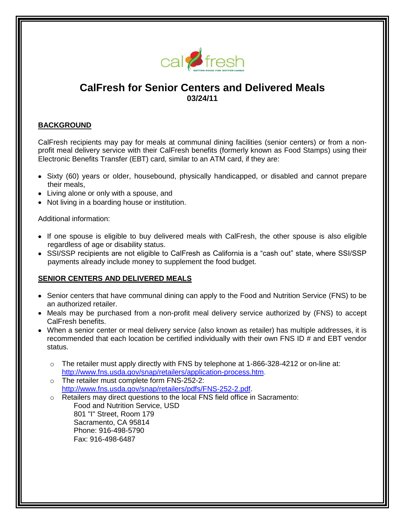

# **CalFresh for Senior Centers and Delivered Meals 03/24/11**

#### **BACKGROUND**

CalFresh recipients may pay for meals at communal dining facilities (senior centers) or from a nonprofit meal delivery service with their CalFresh benefits (formerly known as Food Stamps) using their Electronic Benefits Transfer (EBT) card, similar to an ATM card, if they are:

- Sixty (60) years or older, housebound, physically handicapped, or disabled and cannot prepare their meals,
- Living alone or only with a spouse, and
- Not living in a boarding house or institution.

Additional information:

- If one spouse is eligible to buy delivered meals with CalFresh, the other spouse is also eligible regardless of age or disability status.
- SSI/SSP recipients are not eligible to CalFresh as California is a "cash out" state, where SSI/SSP payments already include money to supplement the food budget.

#### **SENIOR CENTERS AND DELIVERED MEALS**

- Senior centers that have communal dining can apply to the Food and Nutrition Service (FNS) to be an authorized retailer.
- Meals may be purchased from a non-profit meal delivery service authorized by (FNS) to accept CalFresh benefits.
- When a senior center or meal delivery service (also known as retailer) has multiple addresses, it is recommended that each location be certified individually with their own FNS ID # and EBT vendor status.
	- o The retailer must apply directly with FNS by telephone at 1-866-328-4212 or on-line at: [http://www.fns.usda.gov/snap/retailers/application-process.htm.](http://www.fns.usda.gov/snap/retailers/application-process.htm)
	- o The retailer must complete form FNS-252-2: [http://www.fns.usda.gov/snap/retailers/pdfs/FNS-252-2.pdf.](http://www.fns.usda.gov/snap/retailers/pdfs/FNS-252-2.pdf)
	- $\circ$  Retailers may direct questions to the local FNS field office in Sacramento: Food and Nutrition Service, USD 801 "I" Street, Room 179 Sacramento, CA 95814 Phone: 916-498-5790 Fax: 916-498-6487